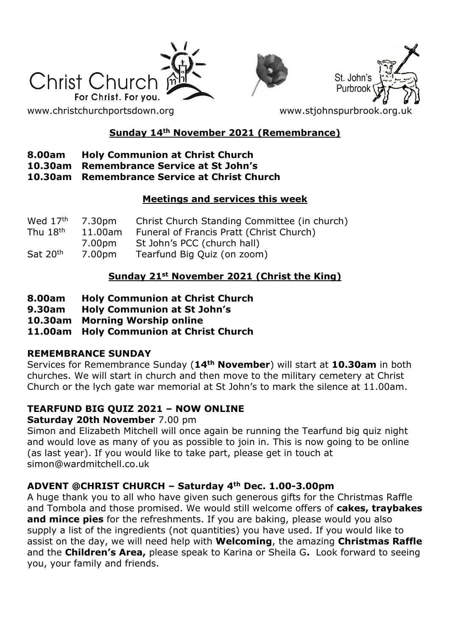





[www.christchurchportsdown.org](http://www.christchurchportsdown.org/) www.stjohnspurbrook.org

# **Sunday 14th November 2021 (Remembrance)**

### **8.00am Holy Communion at Christ Church**

**10.30am Remembrance Service at St John's**

#### **10.30am Remembrance Service at Christ Church**

### **Meetings and services this week**

| Wed 17 <sup>th</sup> | 7.30pm  | Christ Church Standing Committee (in church) |  |
|----------------------|---------|----------------------------------------------|--|
| Thu $18th$           | 11.00am | Funeral of Francis Pratt (Christ Church)     |  |
|                      | 7.00pm  | St John's PCC (church hall)                  |  |
| Sat 20th             | 7.00pm  | Tearfund Big Quiz (on zoom)                  |  |

# **Sunday 21st November 2021 (Christ the King)**

- **8.00am Holy Communion at Christ Church**
- **9.30am Holy Communion at St John's**
- **10.30am Morning Worship online**
- **11.00am Holy Communion at Christ Church**

### **REMEMBRANCE SUNDAY**

Services for Remembrance Sunday (**14th November**) will start at **10.30am** in both churches. We will start in church and then move to the military cemetery at Christ Church or the lych gate war memorial at St John's to mark the silence at 11.00am.

# **TEARFUND BIG QUIZ 2021 – NOW ONLINE**

### **Saturday 20th November** 7.00 pm

Simon and Elizabeth Mitchell will once again be running the Tearfund big quiz night and would love as many of you as possible to join in. This is now going to be online (as last year). If you would like to take part, please get in touch at simon@wardmitchell.co.uk

### **ADVENT @CHRIST CHURCH – Saturday 4th Dec. 1.00-3.00pm**

A huge thank you to all who have given such generous gifts for the Christmas Raffle and Tombola and those promised. We would still welcome offers of **cakes, traybakes and mince pies** for the refreshments. If you are baking, please would you also supply a list of the ingredients (not quantities) you have used. If you would like to assist on the day, we will need help with **Welcoming**, the amazing **Christmas Raffle** and the **Children's Area,** please speak to Karina or Sheila G**.** Look forward to seeing you, your family and friends.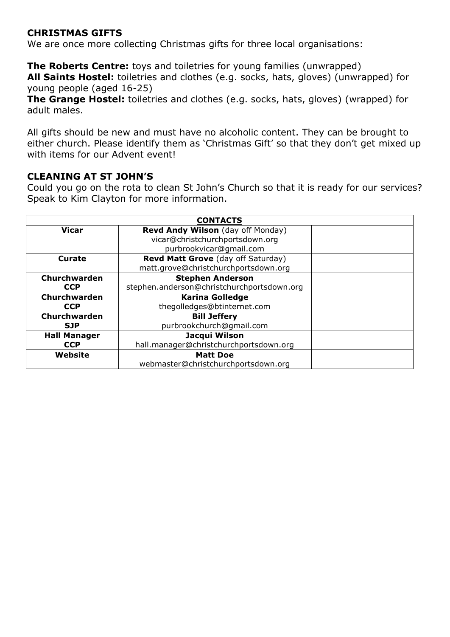#### **CHRISTMAS GIFTS**

We are once more collecting Christmas gifts for three local organisations:

**The Roberts Centre:** toys and toiletries for young families (unwrapped) **All Saints Hostel:** toiletries and clothes (e.g. socks, hats, gloves) (unwrapped) for young people (aged 16-25)

**The Grange Hostel:** toiletries and clothes (e.g. socks, hats, gloves) (wrapped) for adult males.

All gifts should be new and must have no alcoholic content. They can be brought to either church. Please identify them as 'Christmas Gift' so that they don't get mixed up with items for our Advent event!

#### **CLEANING AT ST JOHN'S**

Could you go on the rota to clean St John's Church so that it is ready for our services? Speak to Kim Clayton for more information.

| <b>CONTACTS</b>     |                                            |  |  |
|---------------------|--------------------------------------------|--|--|
| <b>Vicar</b>        | Revd Andy Wilson (day off Monday)          |  |  |
|                     | vicar@christchurchportsdown.org            |  |  |
|                     | purbrookvicar@gmail.com                    |  |  |
| Curate              | Revd Matt Grove (day off Saturday)         |  |  |
|                     | matt.grove@christchurchportsdown.org       |  |  |
| Churchwarden        | <b>Stephen Anderson</b>                    |  |  |
| <b>CCP</b>          | stephen.anderson@christchurchportsdown.org |  |  |
| <b>Churchwarden</b> | <b>Karina Golledge</b>                     |  |  |
| <b>CCP</b>          | thegolledges@btinternet.com                |  |  |
| <b>Churchwarden</b> | <b>Bill Jeffery</b>                        |  |  |
| <b>SJP</b>          | purbrookchurch@qmail.com                   |  |  |
| <b>Hall Manager</b> | Jacqui Wilson                              |  |  |
| <b>CCP</b>          | hall.manager@christchurchportsdown.org     |  |  |
| Website             | <b>Matt Doe</b>                            |  |  |
|                     | webmaster@christchurchportsdown.org        |  |  |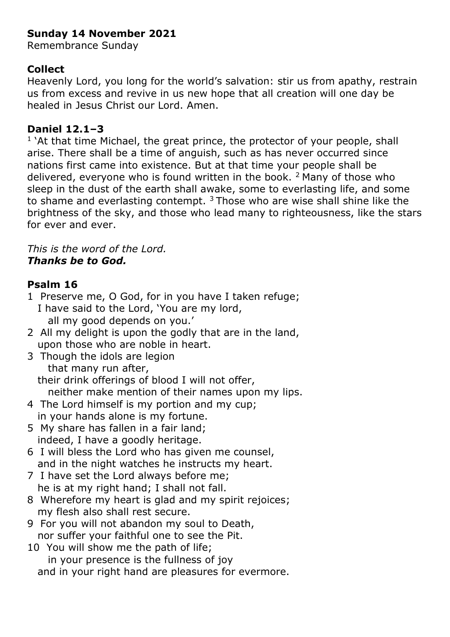# **Sunday 14 November 2021**

Remembrance Sunday

### **Collect**

Heavenly Lord, you long for the world's salvation: stir us from apathy, restrain us from excess and revive in us new hope that all creation will one day be healed in Jesus Christ our Lord. Amen.

### **Daniel 12.1–3**

<sup>1</sup> `At that time Michael, the great prince, the protector of your people, shall arise. There shall be a time of anguish, such as has never occurred since nations first came into existence. But at that time your people shall be delivered, everyone who is found written in the book.  $2$  Many of those who sleep in the dust of the earth shall awake, some to everlasting life, and some to shame and everlasting contempt.  $3$  Those who are wise shall shine like the brightness of the sky, and those who lead many to righteousness, like the stars for ever and ever.

### *This is the word of the Lord. Thanks be to God.*

# **Psalm 16**

- 1 Preserve me, O God, for in you have I taken refuge; I have said to the Lord, 'You are my lord, all my good depends on you.'
- 2 All my delight is upon the godly that are in the land, upon those who are noble in heart.
- 3 Though the idols are legion that many run after, their drink offerings of blood I will not offer, neither make mention of their names upon my lips.
- 4 The Lord himself is my portion and my cup; in your hands alone is my fortune.
- 5 My share has fallen in a fair land; indeed, I have a goodly heritage.
- 6 I will bless the Lord who has given me counsel, and in the night watches he instructs my heart.
- 7 I have set the Lord always before me; he is at my right hand; I shall not fall.
- 8 Wherefore my heart is glad and my spirit rejoices; my flesh also shall rest secure.
- 9 For you will not abandon my soul to Death, nor suffer your faithful one to see the Pit.
- 10 You will show me the path of life; in your presence is the fullness of joy and in your right hand are pleasures for evermore.